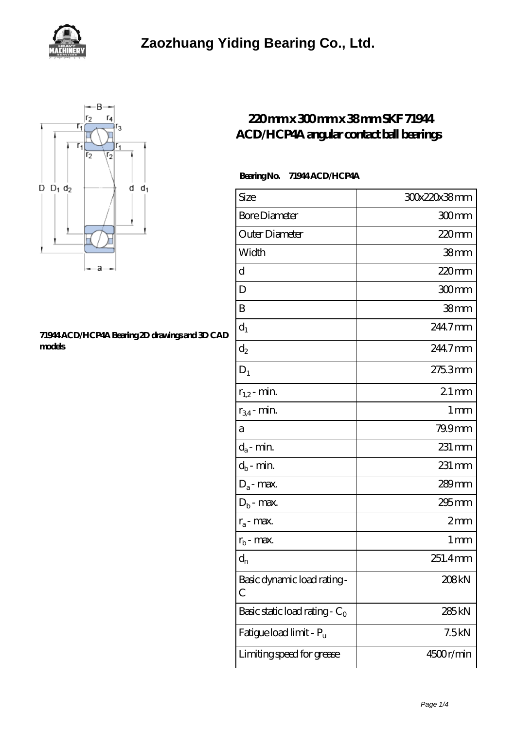

## **[Zaozhuang Yiding Bearing Co., Ltd.](https://m.slatworx.com)**



## **[71944 ACD/HCP4A Bearing 2D drawings and 3D CAD](https://m.slatworx.com/pic-65132326.html) [models](https://m.slatworx.com/pic-65132326.html)**

## **[220 mm x 300 mm x 38 mm SKF 71944](https://m.slatworx.com/skf-71944-acd-hcp4a-bearing/) [ACD/HCP4A angular contact ball bearings](https://m.slatworx.com/skf-71944-acd-hcp4a-bearing/)**

## **Bearing No. 71944 ACD/HCP4A**

| Size                             | 30x220x38mm         |
|----------------------------------|---------------------|
| <b>Bore Diameter</b>             | 300mm               |
| Outer Diameter                   | $220$ mm            |
| Width                            | 38mm                |
| d                                | 220mm               |
| D                                | 300mm               |
| B                                | 38mm                |
| $d_1$                            | 2447mm              |
| $\mathrm{d}_2$                   | 244.7mm             |
| $D_1$                            | 275.3mm             |
| $r_{1,2}$ - min.                 | $21 \text{mm}$      |
| $r_{34}$ - min.                  | $1 \,\mathrm{mm}$   |
| а                                | 79.9mm              |
| $d_a$ - min.                     | $231 \,\mathrm{mm}$ |
| $d_b$ - min.                     | $231 \,\mathrm{mm}$ |
| $D_a$ - max.                     | 289mm               |
| $D_b$ - max.                     | 295 <sub>mm</sub>   |
| $r_a$ - max.                     | 2mm                 |
| $r_{b}$ - max.                   | 1 <sub>mm</sub>     |
| $d_{n}$                          | 251.4mm             |
| Basic dynamic load rating-<br>С  | 208kN               |
| Basic static load rating - $C_0$ | 285 <sub>kN</sub>   |
| Fatigue load limit - Pu          | 7.5kN               |
| Limiting speed for grease        | 4500r/min           |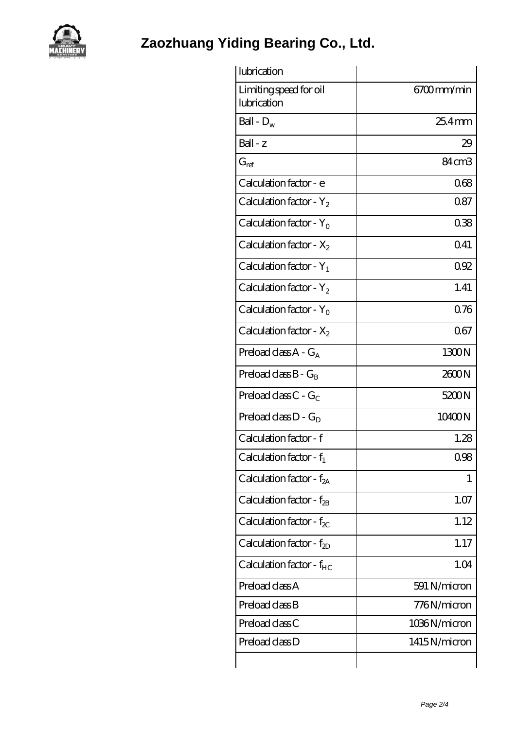

**[Zaozhuang Yiding Bearing Co., Ltd.](https://m.slatworx.com)**

| lubrication                           |                   |
|---------------------------------------|-------------------|
| Limiting speed for oil<br>lubrication | 6700mm/min        |
| Ball - $D_w$                          | $254$ mm          |
| Ball - z                              | 29                |
| $G_{ref}$                             | 84cm <sub>3</sub> |
| Calculation factor - e                | 068               |
| Calculation factor - $Y_2$            | 0.87              |
| Calculation factor - $Y_0$            | 038               |
| Calculation factor - $X_2$            | 041               |
| Calculation factor - $Y_1$            | 092               |
| Calculation factor - $Y_2$            | 1.41              |
| Calculation factor - $Y_0$            | 076               |
| Calculation factor - $X_2$            | 067               |
| Preload class $A - G_A$               | 1300N             |
| Preload class $B - G_B$               | 2600N             |
| Preload class $C - G_C$               | 5200N             |
| Preload class $D - G_D$               | 10400N            |
| Calculation factor - f                | 1.28              |
| Calculation factor - $f_1$            | 0.98              |
| Calculation factor - $f_{2A}$         | 1                 |
| Calculation factor - $f_{2B}$         | 1.07              |
| Calculation factor - $f_{\chi}$       | 1.12              |
| Calculation factor - $f_{2D}$         | 1.17              |
| Calculation factor - $f_{HC}$         | 1.04              |
| Preload class A                       | 591 N/micron      |
| Preload class B                       | 776N/micron       |
| Preload class C                       | 1036N/micron      |
| Preload class D                       | 1415N/micron      |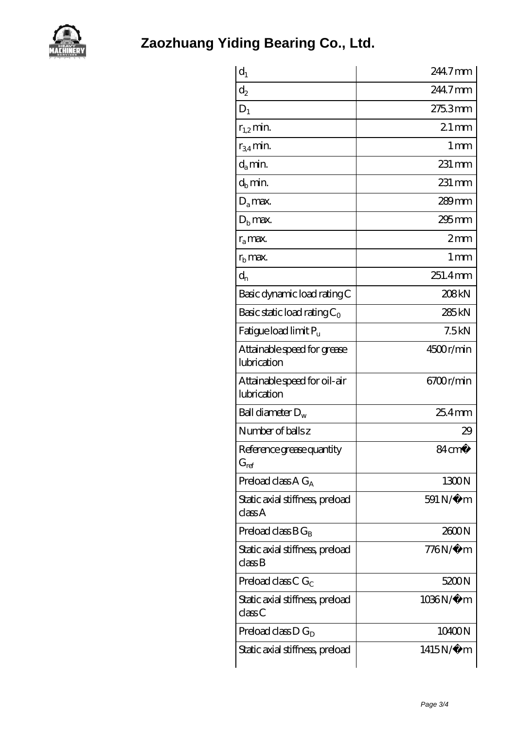

| $d_1$                                       | 244.7mm             |
|---------------------------------------------|---------------------|
| $\mathrm{d}_2$                              | 2447mm              |
| $D_1$                                       | 275.3mm             |
| $r_{1,2}$ min.                              | $21$ mm             |
| $r_{34}$ min.                               | $1 \,\mathrm{mm}$   |
| $d_a$ min.                                  | 231 mm              |
| $d_b$ min.                                  | 231 mm              |
| $D_a$ max.                                  | $289$ mm            |
| $D_{b}$ max.                                | $295 \,\mathrm{mm}$ |
| $r_a$ max.                                  | 2mm                 |
| $rb$ max.                                   | $1 \,\mathrm{mm}$   |
| $d_{n}$                                     | 251.4mm             |
| Basic dynamic load rating C                 | 208kN               |
| Basic static load rating $C_0$              | 285 <sub>kN</sub>   |
| Fatigue load limit P <sub>u</sub>           | 7.5kN               |
| Attainable speed for grease<br>lubrication  | 4500r/min           |
| Attainable speed for oil-air<br>lubrication | 6700r/min           |
| Ball diameter $D_w$                         | 25.4mm              |
| Number of balls z                           | 29                  |
| Reference grease quantity<br>$G_{ref}$      | 84 cm <sup>3</sup>  |
| Preload class $AG_A$                        | 1300N               |
| Static axial stiffness, preload<br>classA   | 591 N/μ m           |
| Preload class $BG_B$                        | 2600N               |
| Static axial stiffness, preload<br>classB   | <i>77</i> 6N/μ m    |
| Preload class C $G_C$                       | 5200N               |
| Static axial stiffness, preload<br>classC   | 1036N/μ m           |
| Preload class $D G_D$                       | 10400N              |
| Static axial stiffness, preload             | 1415N/μ m           |